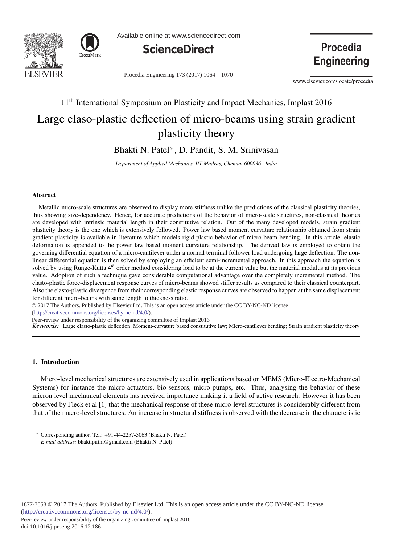



Available online at www.sciencedirect.com



Procedia Engineering 173 (2017) 1064 - 1070

Procedia **Engineering** 

www.elsevier.com/locate/procedia

# 11<sup>th</sup> International Symposium on Plasticity and Impact Mechanics, Implast 2016 Large elaso-plastic deflection of micro-beams using strain gradient plasticity theory

Bhakti N. Patel\*, D. Pandit, S. M. Srinivasan

*Department of Applied Mechanics, IIT Madras, Chennai 600036 , India*

#### Abstract

Metallic micro-scale structures are observed to display more stiffness unlike the predictions of the classical plasticity theories, thus showing size-dependency. Hence, for accurate predictions of the behavior of micro-scale structures, non-classical theories are developed with intrinsic material length in their constitutive relation. Out of the many developed models, strain gradient plasticity theory is the one which is extensively followed. Power law based moment curvature relationship obtained from strain gradient plasticity is available in literature which models rigid-plastic behavior of micro-beam bending. In this article, elastic deformation is appended to the power law based moment curvature relationship. The derived law is employed to obtain the governing differential equation of a micro-cantilever under a normal terminal follower load undergoing large deflection. The nonlinear differential equation is then solved by employing an efficient semi-incremental approach. In this approach the equation is solved by using Runge-Kutta 4<sup>th</sup> order method considering load to be at the current value but the material modulus at its previous value. Adoption of such a technique gave considerable computational advantage over the completely incremental method. The elasto-plastic force-displacement response curves of micro-beams showed stiffer results as compared to their classical counterpart. Also the elasto-plastic divergence from their corresponding elastic response curves are observed to happen at the same displacement for different micro-beams with same length to thickness ratio.

© 2017 The Authors. Published by Elsevier Ltd. This is an open access article under the CC BY-NC-ND license

(http://creativecommons.org/licenses/by-nc-nd/4.0/).

Peer-review under responsibility of the organizing committee of Implast 2016

*Keywords:* Large elasto-plastic deflection; Moment-curvature based constitutive law; Micro-cantilever bending; Strain gradient plasticity theory

## 1. Introduction

Micro-level mechanical structures are extensively used in applications based on MEMS (Micro-Electro-Mechanical Systems) for instance the micro-actuators, bio-sensors, micro-pumps, etc. Thus, analysing the behavior of these micron level mechanical elements has received importance making it a field of active research. However it has been observed by Fleck et al [1] that the mechanical response of these micro-level structures is considerably different from that of the macro-level structures. An increase in structural stiffness is observed with the decrease in the characteristic

1877-7058 © 2017 The Authors. Published by Elsevier Ltd. This is an open access article under the CC BY-NC-ND license (http://creativecommons.org/licenses/by-nc-nd/4.0/). Peer-review under responsibility of the organizing committee of Implast 2016 doi: 10.1016/j.proeng.2016.12.186

<sup>∗</sup> Corresponding author. Tel.: +91-44-2257-5063 (Bhakti N. Patel) *E-mail address:* bhaktipiitm@gmail.com (Bhakti N. Patel)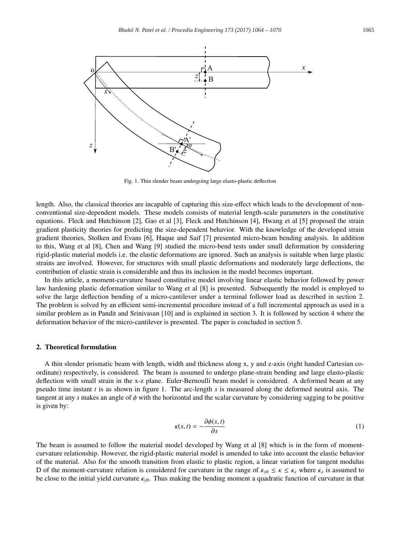

Fig. 1. Thin slender beam undergoing large elasto-plastic deflection

length. Also, the classical theories are incapable of capturing this size-effect which leads to the development of nonconventional size-dependent models. These models consists of material length-scale parameters in the constitutive equations. Fleck and Hutchinson [2], Gao et al [3], Fleck and Hutchinson [4], Hwang et al [5] proposed the strain gradient plasticity theories for predicting the size-dependent behavior. With the knowledge of the developed strain gradient theories, Stolken and Evans [6], Haque and Saif [7] presented micro-beam bending analysis. In addition to this, Wang et al [8], Chen and Wang [9] studied the micro-bend tests under small deformation by considering rigid-plastic material models i.e. the elastic deformations are ignored. Such an analysis is suitable when large plastic strains are involved. However, for structures with small plastic deformations and moderately large deflections, the contribution of elastic strain is considerable and thus its inclusion in the model becomes important.

In this article, a moment-curvature based constitutive model involving linear elastic behavior followed by power law hardening plastic deformation similar to Wang et al [8] is presented. Subsequently the model is employed to solve the large deflection bending of a micro-cantilever under a terminal follower load as described in section 2. The problem is solved by an efficient semi-incremental procedure instead of a full incremental approach as used in a similar problem as in Pandit and Srinivasan [10] and is explained in section 3. It is followed by section 4 where the deformation behavior of the micro-cantilever is presented. The paper is concluded in section 5.

## 2. Theoretical formulation

A thin slender prismatic beam with length, width and thickness along x, y and z-axis (right handed Cartesian coordinate) respectively, is considered. The beam is assumed to undergo plane-strain bending and large elasto-plastic deflection with small strain in the x-z plane. Euler-Bernoulli beam model is considered. A deformed beam at any pseudo time instant *t* is as shown in figure 1. The arc-length *s* is measured along the deformed neutral axis. The tangent at any *s* makes an angle of φ with the horizontal and the scalar curvature by considering sagging to be positive is given by:

$$
\kappa(s,t) = -\frac{\partial \phi(s,t)}{\partial s} \tag{1}
$$

The beam is assumed to follow the material model developed by Wang et al [8] which is in the form of momentcurvature relationship. However, the rigid-plastic material model is amended to take into account the elastic behavior of the material. Also for the smooth transition from elastic to plastic region, a linear variation for tangent modulus D of the moment-curvature relation is considered for curvature in the range of  $\kappa_{y0} \le \kappa \le \kappa_s$  where  $\kappa_s$  is assumed to be close to the initial yield curvature κ*y*0. Thus making the bending moment a quadratic function of curvature in that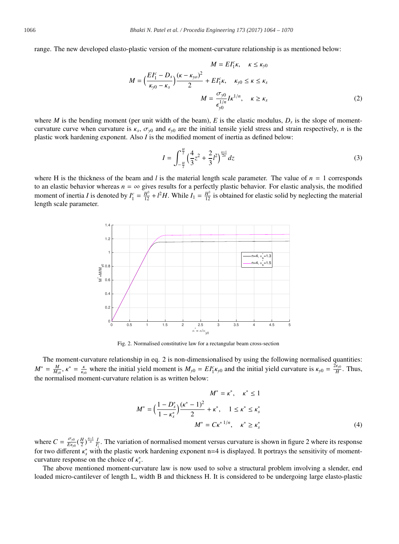range. The new developed elasto-plastic version of the moment-curvature relationship is as mentioned below:

$$
M = EI_1^c \kappa, \quad \kappa \le \kappa_{y0}
$$
  

$$
M = \left(\frac{EI_1^c - D_s}{\kappa_{y0} - \kappa_s}\right) \frac{(\kappa - \kappa_{y0})^2}{2} + EI_1^c \kappa, \quad \kappa_{y0} \le \kappa \le \kappa_s
$$
  

$$
M = \frac{\sigma_{y0}}{\epsilon_{y0}^{1/n}} I \kappa^{1/n}, \quad \kappa \ge \kappa_s
$$
 (2)

where *M* is the bending moment (per unit width of the beam),  $E$  is the elastic modulus,  $D_s$  is the slope of momentcurvature curve when curvature is  $\kappa_s$ ,  $\sigma_{v0}$  and  $\epsilon_{v0}$  are the initial tensile yield stress and strain respectively, *n* is the plastic work hardening exponent. Also *I* is the modified moment of inertia as defined below:

$$
I = \int_{-\frac{\pi}{2}}^{\frac{\pi}{2}} \left(\frac{4}{3}z^2 + \frac{2}{3}l^2\right)^{\frac{n+1}{2n}} dz
$$
 (3)

where H is the thickness of the beam and *l* is the material length scale parameter. The value of  $n = 1$  corresponds to an elastic behavior whereas  $n = \infty$  gives results for a perfectly plastic behavior. For elastic analysis, the modified moment of inertia *I* is denoted by  $I_1^c = \frac{H^3}{12} + l^2 H$ . While  $I_1 = \frac{H^3}{12}$  is obtained for elastic solid by neglecting the material length scale parameter.



Fig. 2. Normalised constitutive law for a rectangular beam cross-section

The moment-curvature relationship in eq. 2 is non-dimensionalised by using the following normalised quantities:  $M^* = \frac{M}{M_{y0}}$ ,  $\kappa^* = \frac{\kappa}{\kappa_{y0}}$  where the initial yield moment is  $M_{y0} = EI_1^c \kappa_{y0}$  and the initial yield curvature is  $\kappa_{y0} = \frac{2\epsilon_{y0}}{H}$ . Thus, the normalised moment-curvature relation is as written below:

$$
M^* = \kappa^*, \quad \kappa^* \le 1
$$
  

$$
M^* = \left(\frac{1 - D_s^*}{1 - \kappa_s^*}\right) \frac{(\kappa^* - 1)^2}{2} + \kappa^*, \quad 1 \le \kappa^* \le \kappa_s^*
$$
  

$$
M^* = C\kappa^{*1/n}, \quad \kappa^* \ge \kappa_s^*
$$
 (4)

where  $C = \frac{\sigma_{y0}}{E \epsilon_0} (\frac{H}{2})^{\frac{n-1}{n}} \frac{I}{I_1^c}$ . The variation of normalised moment versus curvature is shown in figure 2 where its response for two different  $\kappa_s^*$  with the plastic work hardening exponent n=4 is displayed. It portrays the sensitivity of momentcurvature response on the choice of κ<sup>∗</sup> *s*.

The above mentioned moment-curvature law is now used to solve a structural problem involving a slender, end loaded micro-cantilever of length L, width B and thickness H. It is considered to be undergoing large elasto-plastic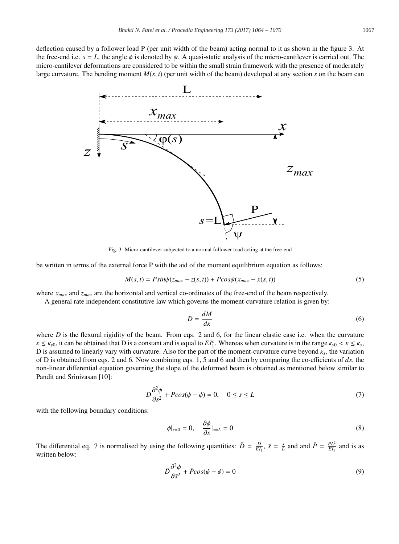deflection caused by a follower load P (per unit width of the beam) acting normal to it as shown in the figure 3. At the free-end i.e.  $s = L$ , the angle  $\phi$  is denoted by  $\psi$ . A quasi-static analysis of the micro-cantilever is carried out. The micro-cantilever deformations are considered to be within the small strain framework with the presence of moderately large curvature. The bending moment  $M(s, t)$  (per unit width of the beam) developed at any section  $s$  on the beam can



Fig. 3. Micro-cantilever subjected to a normal follower load acting at the free-end

be written in terms of the external force P with the aid of the moment equilibrium equation as follows:

$$
M(s,t) = P\sin\psi(z_{max} - z(s,t)) + P\cos\psi(x_{max} - x(s,t))
$$
\n<sup>(5)</sup>

where *x<sub>max</sub>* and *z<sub>max</sub>* are the horizontal and vertical co-ordinates of the free-end of the beam respectively.

A general rate independent constitutive law which governs the moment-curvature relation is given by:

$$
D = \frac{dM}{d\kappa} \tag{6}
$$

where  $D$  is the flexural rigidity of the beam. From eqs. 2 and 6, for the linear elastic case i.e. when the curvature  $\kappa \le \kappa_{y0}$ , it can be obtained that D is a constant and is equal to  $EI_1^c$ . Whereas when curvature is in the range  $\kappa_{y0} < \kappa \le \kappa_s$ , D is assumed to linearly vary with curvature. Also for the part of the moment-curvature curve beyond  $\kappa_s$ , the variation of D is obtained from eqs. 2 and 6. Now combining eqs. 1, 5 and 6 and then by comparing the co-efficients of *ds*, the non-linear differential equation governing the slope of the deformed beam is obtained as mentioned below similar to Pandit and Srinivasan [10]:

$$
D\frac{\partial^2 \phi}{\partial s^2} + P\cos(\psi - \phi) = 0, \quad 0 \le s \le L \tag{7}
$$

with the following boundary conditions:

$$
\phi|_{s=0} = 0, \quad \frac{\partial \phi}{\partial s}|_{s=L} = 0 \tag{8}
$$

The differential eq. 7 is normalised by using the following quantities:  $\bar{D} = \frac{D}{E I_1}$ ,  $\bar{s} = \frac{s}{L}$  and and  $\bar{P} = \frac{P L^2}{E I_1}$  and is as written below:

$$
\bar{D}\frac{\partial^2 \phi}{\partial \bar{s}^2} + \bar{P}\cos(\psi - \phi) = 0\tag{9}
$$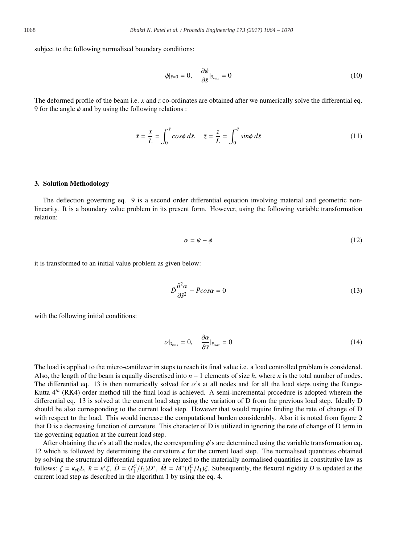subject to the following normalised boundary conditions:

$$
\phi|_{\bar{s}=0} = 0, \quad \frac{\partial \phi}{\partial \bar{s}}|_{\bar{s}_{max}} = 0 \tag{10}
$$

The deformed profile of the beam i.e. *x* and *z* co-ordinates are obtained after we numerically solve the differential eq. 9 for the angle  $\phi$  and by using the following relations :

$$
\bar{x} = \frac{x}{L} = \int_0^{\bar{s}} \cos\phi \, d\bar{s}, \quad \bar{z} = \frac{z}{L} = \int_0^{\bar{s}} \sin\phi \, d\bar{s}
$$
\n(11)

## 3. Solution Methodology

The deflection governing eq. 9 is a second order differential equation involving material and geometric nonlinearity. It is a boundary value problem in its present form. However, using the following variable transformation relation:

$$
\alpha = \psi - \phi \tag{12}
$$

it is transformed to an initial value problem as given below:

$$
\bar{D}\frac{\partial^2 \alpha}{\partial \bar{s}^2} - \bar{P}\cos\alpha = 0\tag{13}
$$

with the following initial conditions:

$$
\alpha|_{\bar{s}_{max}} = 0, \quad \frac{\partial \alpha}{\partial \bar{s}}|_{\bar{s}_{max}} = 0 \tag{14}
$$

The load is applied to the micro-cantilever in steps to reach its final value i.e. a load controlled problem is considered. Also, the length of the beam is equally discretised into *n* − 1 elements of size *h*, where *n* is the total number of nodes. The differential eq. 13 is then numerically solved for  $\alpha$ 's at all nodes and for all the load steps using the Runge-Kutta 4*th* (RK4) order method till the final load is achieved. A semi-incremental procedure is adopted wherein the differential eq. 13 is solved at the current load step using the variation of D from the previous load step. Ideally D should be also corresponding to the current load step. However that would require finding the rate of change of D with respect to the load. This would increase the computational burden considerably. Also it is noted from figure 2 that D is a decreasing function of curvature. This character of D is utilized in ignoring the rate of change of D term in the governing equation at the current load step.

After obtaining the  $\alpha$ 's at all the nodes, the corresponding  $\phi$ 's are determined using the variable transformation eq. 12 which is followed by determining the curvature  $\kappa$  for the current load step. The normalised quantities obtained by solving the structural differential equation are related to the materially normalised quantities in constitutive law as follows:  $\zeta = \kappa_{y0}L$ ,  $\bar{\kappa} = \kappa^* \zeta$ ,  $\bar{D} = (I_1^C/I_1)D^*$ ,  $\bar{M} = M^*(I_1^C/I_1)\zeta$ . Subsequently, the flexural rigidity *D* is updated at the current load step as described in the algorithm 1 by using the eq. 4.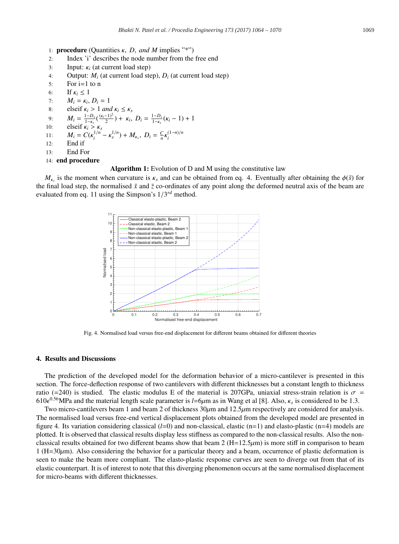- 1: procedure (Quantities κ, *D*, *and M* implies "\*")
- 2: Index 'i' describes the node number from the free end
- 3: Input: κ*<sup>i</sup>* (at current load step)
- 4: Output: *Mi* (at current load step), *Di* (at current load step)
- $5:$  For  $i=1$  to n
- 6: If  $\kappa_i \leq 1$ <br>7:  $M_i = \kappa_i$
- $M_i = \kappa_i, D_i = 1$
- 8: elseif  $\kappa_i > 1$  *and*  $\kappa_i \leq \kappa_s$

9: 
$$
M_i = \frac{1 - D_s}{1 - \kappa_s} \left( \frac{(\kappa_i - 1)^2}{2} \right) + \kappa_i, D_i = \frac{1 - D_s}{1 - \kappa_s} (\kappa_i - 1) + 1
$$

- 10: elseif  $\kappa_i > \kappa_s$
- 11:  $M_i = C(\kappa_i^{1/n} \kappa_s^{1/n}) + M_{\kappa_s}, D_i = \frac{C}{n} \kappa_i^{(1-n)/n}$
- $12:$  End if
- 13: End For

```
14: end procedure
```
#### Algorithm 1: Evolution of D and M using the constitutive law

 $M_{\kappa_s}$  is the moment when curvature is  $\kappa_s$  and can be obtained from eq. 4. Eventually after obtaining the  $\phi(\bar{s})$  for the final load step, the normalised  $\bar{x}$  and  $\bar{z}$  co-ordinates of any point along the deformed neutral axis of the beam are evaluated from eq. 11 using the Simpson's 1/3*rd* method.



Fig. 4. Normalised load versus free-end displacement for different beams obtained for different theories

#### 4. Results and Discussions

The prediction of the developed model for the deformation behavior of a micro-cantilever is presented in this section. The force-deflection response of two cantilevers with different thicknesses but a constant length to thickness ratio (=240) is studied. The elastic modulus E of the material is 207GPa, uniaxial stress-strain relation is  $\sigma$  = 610 $\epsilon^{0.56}$ MPa and the material length scale parameter is  $l=6\mu$ m as in Wang et al [8]. Also,  $\kappa_s$  is considered to be 1.3.

Two micro-cantilevers beam 1 and beam 2 of thickness  $30\mu$ m and  $12.5\mu$ m respectively are considered for analysis. The normalised load versus free-end vertical displacement plots obtained from the developed model are presented in figure 4. Its variation considering classical (*l*=0) and non-classical, elastic (n=1) and elasto-plastic (n=4) models are plotted. It is observed that classical results display less stiffness as compared to the non-classical results. Also the nonclassical results obtained for two different beams show that beam  $2 (H=12.5 \mu m)$  is more stiff in comparison to beam  $1 (H=30 \mu m)$ . Also considering the behavior for a particular theory and a beam, occurrence of plastic deformation is seen to make the beam more compliant. The elasto-plastic response curves are seen to diverge out from that of its elastic counterpart. It is of interest to note that this diverging phenomenon occurs at the same normalised displacement for micro-beams with different thicknesses.